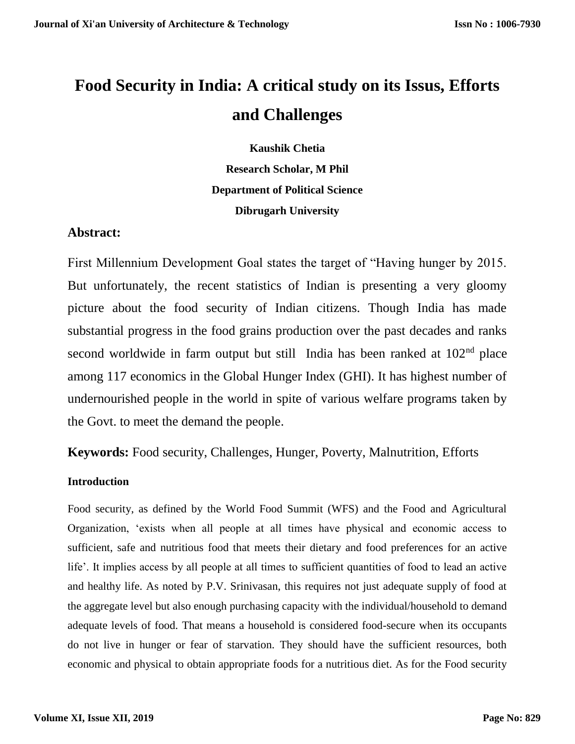# **Food Security in India: A critical study on its Issus, Efforts and Challenges**

**Kaushik Chetia Research Scholar, M Phil Department of Political Science Dibrugarh University**

# **Abstract:**

First Millennium Development Goal states the target of "Having hunger by 2015. But unfortunately, the recent statistics of Indian is presenting a very gloomy picture about the food security of Indian citizens. Though India has made substantial progress in the food grains production over the past decades and ranks second worldwide in farm output but still India has been ranked at 102<sup>nd</sup> place among 117 economics in the Global Hunger Index (GHI). It has highest number of undernourished people in the world in spite of various welfare programs taken by the Govt. to meet the demand the people.

**Keywords:** Food security, Challenges, Hunger, Poverty, Malnutrition, Efforts

## **Introduction**

Food security, as defined by the World Food Summit (WFS) and the Food and Agricultural Organization, 'exists when all people at all times have physical and economic access to sufficient, safe and nutritious food that meets their dietary and food preferences for an active life'. It implies access by all people at all times to sufficient quantities of food to lead an active and healthy life. As noted by P.V. Srinivasan, this requires not just adequate supply of food at the aggregate level but also enough purchasing capacity with the individual/household to demand adequate levels of food. That means a household is considered food-secure when its occupants do not live in hunger or fear of starvation. They should have the sufficient resources, both economic and physical to obtain appropriate foods for a nutritious diet. As for the Food security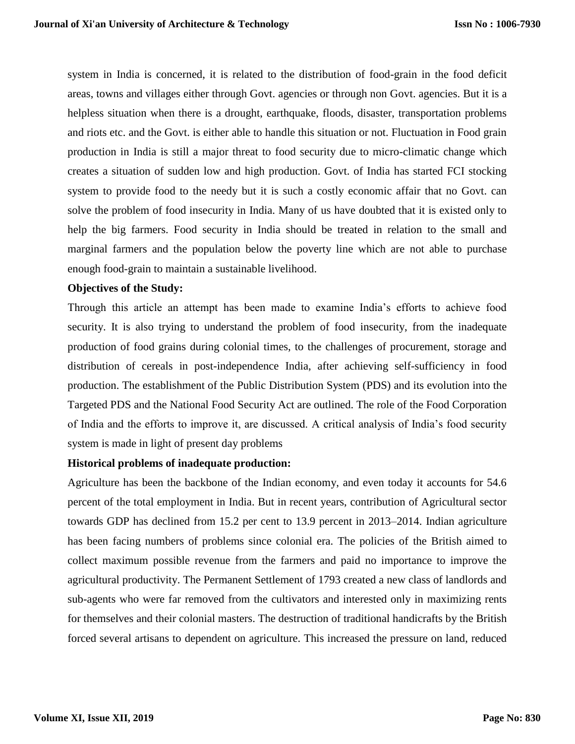system in India is concerned, it is related to the distribution of food-grain in the food deficit areas, towns and villages either through Govt. agencies or through non Govt. agencies. But it is a helpless situation when there is a drought, earthquake, floods, disaster, transportation problems and riots etc. and the Govt. is either able to handle this situation or not. Fluctuation in Food grain production in India is still a major threat to food security due to micro-climatic change which creates a situation of sudden low and high production. Govt. of India has started FCI stocking system to provide food to the needy but it is such a costly economic affair that no Govt. can solve the problem of food insecurity in India. Many of us have doubted that it is existed only to help the big farmers. Food security in India should be treated in relation to the small and marginal farmers and the population below the poverty line which are not able to purchase enough food-grain to maintain a sustainable livelihood.

#### **Objectives of the Study:**

Through this article an attempt has been made to examine India's efforts to achieve food security. It is also trying to understand the problem of food insecurity, from the inadequate production of food grains during colonial times, to the challenges of procurement, storage and distribution of cereals in post-independence India, after achieving self-sufficiency in food production. The establishment of the Public Distribution System (PDS) and its evolution into the Targeted PDS and the National Food Security Act are outlined. The role of the Food Corporation of India and the efforts to improve it, are discussed. A critical analysis of India's food security system is made in light of present day problems

#### **Historical problems of inadequate production:**

Agriculture has been the backbone of the Indian economy, and even today it accounts for 54.6 percent of the total employment in India. But in recent years, contribution of Agricultural sector towards GDP has declined from 15.2 per cent to 13.9 percent in 2013–2014. Indian agriculture has been facing numbers of problems since colonial era. The policies of the British aimed to collect maximum possible revenue from the farmers and paid no importance to improve the agricultural productivity. The Permanent Settlement of 1793 created a new class of landlords and sub-agents who were far removed from the cultivators and interested only in maximizing rents for themselves and their colonial masters. The destruction of traditional handicrafts by the British forced several artisans to dependent on agriculture. This increased the pressure on land, reduced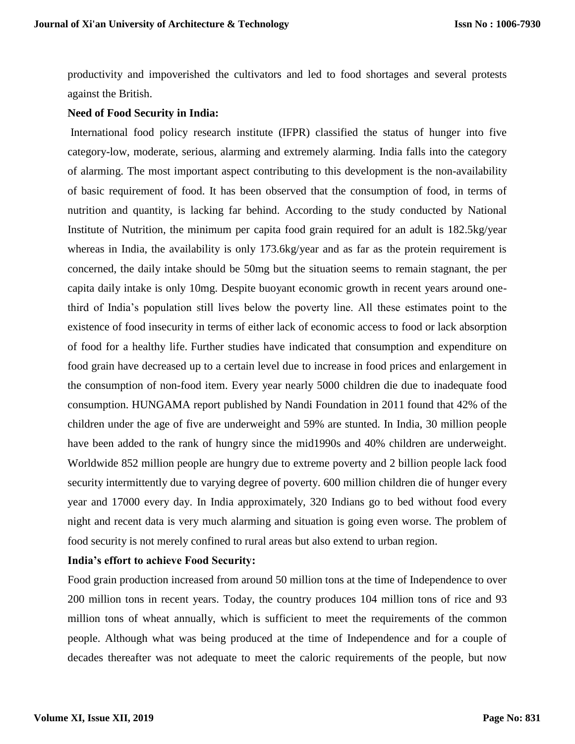productivity and impoverished the cultivators and led to food shortages and several protests against the British.

## **Need of Food Security in India:**

International food policy research institute (IFPR) classified the status of hunger into five category-low, moderate, serious, alarming and extremely alarming. India falls into the category of alarming. The most important aspect contributing to this development is the non-availability of basic requirement of food. It has been observed that the consumption of food, in terms of nutrition and quantity, is lacking far behind. According to the study conducted by National Institute of Nutrition, the minimum per capita food grain required for an adult is 182.5kg/year whereas in India, the availability is only 173.6kg/year and as far as the protein requirement is concerned, the daily intake should be 50mg but the situation seems to remain stagnant, the per capita daily intake is only 10mg. Despite buoyant economic growth in recent years around onethird of India's population still lives below the poverty line. All these estimates point to the existence of food insecurity in terms of either lack of economic access to food or lack absorption of food for a healthy life. Further studies have indicated that consumption and expenditure on food grain have decreased up to a certain level due to increase in food prices and enlargement in the consumption of non-food item. Every year nearly 5000 children die due to inadequate food consumption. HUNGAMA report published by Nandi Foundation in 2011 found that 42% of the children under the age of five are underweight and 59% are stunted. In India, 30 million people have been added to the rank of hungry since the mid1990s and 40% children are underweight. Worldwide 852 million people are hungry due to extreme poverty and 2 billion people lack food security intermittently due to varying degree of poverty. 600 million children die of hunger every year and 17000 every day. In India approximately, 320 Indians go to bed without food every night and recent data is very much alarming and situation is going even worse. The problem of food security is not merely confined to rural areas but also extend to urban region.

#### **India's effort to achieve Food Security:**

Food grain production increased from around 50 million tons at the time of Independence to over 200 million tons in recent years. Today, the country produces 104 million tons of rice and 93 million tons of wheat annually, which is sufficient to meet the requirements of the common people. Although what was being produced at the time of Independence and for a couple of decades thereafter was not adequate to meet the caloric requirements of the people, but now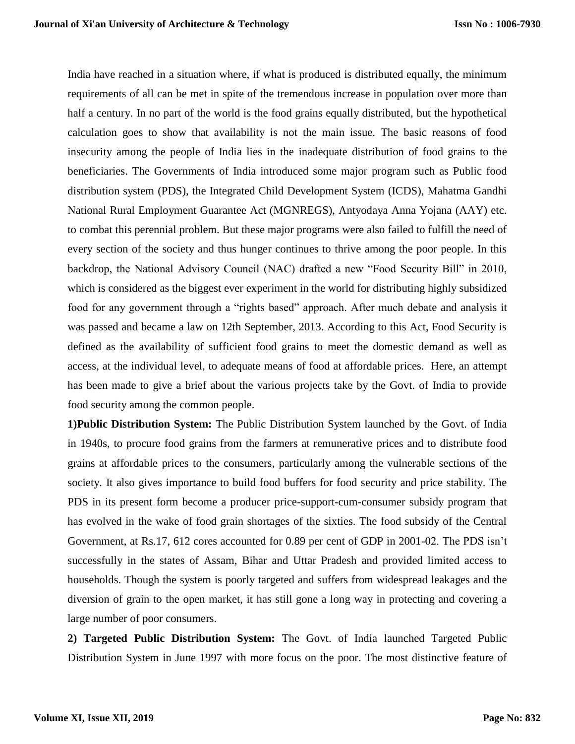India have reached in a situation where, if what is produced is distributed equally, the minimum requirements of all can be met in spite of the tremendous increase in population over more than half a century. In no part of the world is the food grains equally distributed, but the hypothetical calculation goes to show that availability is not the main issue. The basic reasons of food insecurity among the people of India lies in the inadequate distribution of food grains to the beneficiaries. The Governments of India introduced some major program such as Public food distribution system (PDS), the Integrated Child Development System (ICDS), Mahatma Gandhi National Rural Employment Guarantee Act (MGNREGS), Antyodaya Anna Yojana (AAY) etc. to combat this perennial problem. But these major programs were also failed to fulfill the need of every section of the society and thus hunger continues to thrive among the poor people. In this backdrop, the National Advisory Council (NAC) drafted a new "Food Security Bill" in 2010, which is considered as the biggest ever experiment in the world for distributing highly subsidized food for any government through a "rights based" approach. After much debate and analysis it was passed and became a law on 12th September, 2013. According to this Act, Food Security is defined as the availability of sufficient food grains to meet the domestic demand as well as access, at the individual level, to adequate means of food at affordable prices. Here, an attempt has been made to give a brief about the various projects take by the Govt. of India to provide food security among the common people.

**1)Public Distribution System:** The Public Distribution System launched by the Govt. of India in 1940s, to procure food grains from the farmers at remunerative prices and to distribute food grains at affordable prices to the consumers, particularly among the vulnerable sections of the society. It also gives importance to build food buffers for food security and price stability. The PDS in its present form become a producer price-support-cum-consumer subsidy program that has evolved in the wake of food grain shortages of the sixties. The food subsidy of the Central Government, at Rs.17, 612 cores accounted for 0.89 per cent of GDP in 2001-02. The PDS isn't successfully in the states of Assam, Bihar and Uttar Pradesh and provided limited access to households. Though the system is poorly targeted and suffers from widespread leakages and the diversion of grain to the open market, it has still gone a long way in protecting and covering a large number of poor consumers.

**2) Targeted Public Distribution System:** The Govt. of India launched Targeted Public Distribution System in June 1997 with more focus on the poor. The most distinctive feature of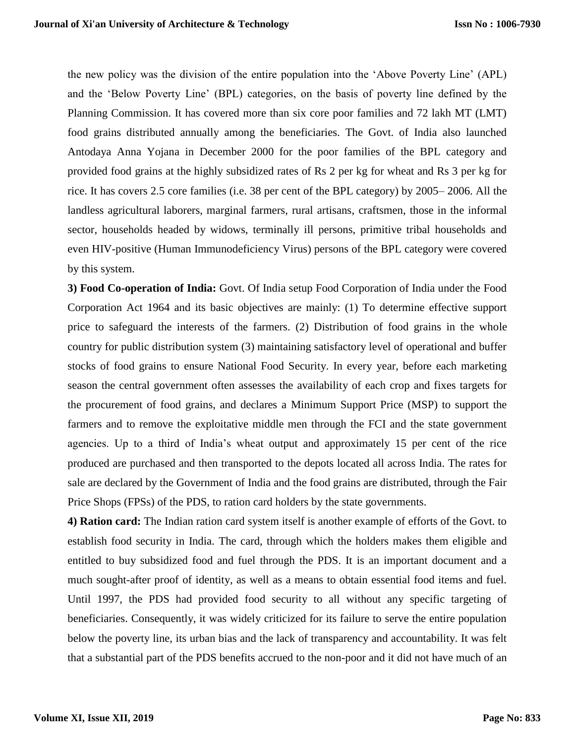the new policy was the division of the entire population into the 'Above Poverty Line' (APL) and the 'Below Poverty Line' (BPL) categories, on the basis of poverty line defined by the Planning Commission. It has covered more than six core poor families and 72 lakh MT (LMT) food grains distributed annually among the beneficiaries. The Govt. of India also launched Antodaya Anna Yojana in December 2000 for the poor families of the BPL category and provided food grains at the highly subsidized rates of Rs 2 per kg for wheat and Rs 3 per kg for rice. It has covers 2.5 core families (i.e. 38 per cent of the BPL category) by 2005– 2006. All the landless agricultural laborers, marginal farmers, rural artisans, craftsmen, those in the informal sector, households headed by widows, terminally ill persons, primitive tribal households and even HIV-positive (Human Immunodeficiency Virus) persons of the BPL category were covered by this system.

**3) Food Co-operation of India:** Govt. Of India setup Food Corporation of India under the Food Corporation Act 1964 and its basic objectives are mainly: (1) To determine effective support price to safeguard the interests of the farmers. (2) Distribution of food grains in the whole country for public distribution system (3) maintaining satisfactory level of operational and buffer stocks of food grains to ensure National Food Security. In every year, before each marketing season the central government often assesses the availability of each crop and fixes targets for the procurement of food grains, and declares a Minimum Support Price (MSP) to support the farmers and to remove the exploitative middle men through the FCI and the state government agencies. Up to a third of India's wheat output and approximately 15 per cent of the rice produced are purchased and then transported to the depots located all across India. The rates for sale are declared by the Government of India and the food grains are distributed, through the Fair Price Shops (FPSs) of the PDS, to ration card holders by the state governments.

**4) Ration card:** The Indian ration card system itself is another example of efforts of the Govt. to establish food security in India. The card, through which the holders makes them eligible and entitled to buy subsidized food and fuel through the PDS. It is an important document and a much sought-after proof of identity, as well as a means to obtain essential food items and fuel. Until 1997, the PDS had provided food security to all without any specific targeting of beneficiaries. Consequently, it was widely criticized for its failure to serve the entire population below the poverty line, its urban bias and the lack of transparency and accountability. It was felt that a substantial part of the PDS benefits accrued to the non-poor and it did not have much of an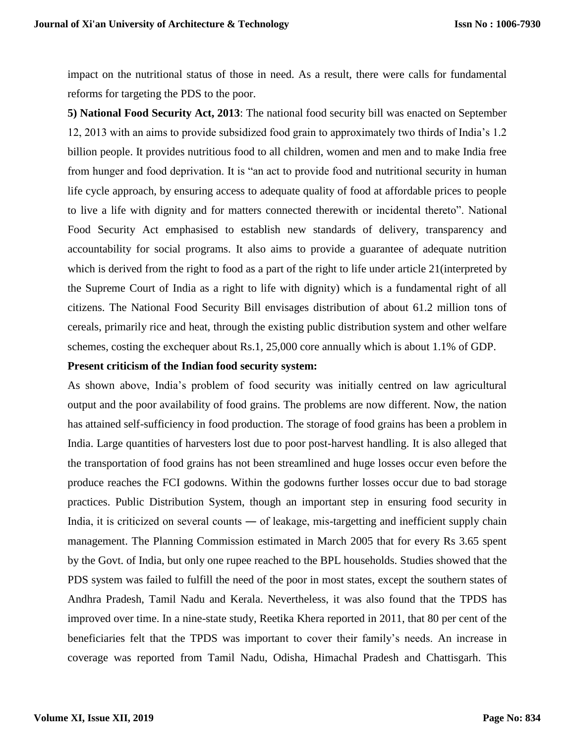impact on the nutritional status of those in need. As a result, there were calls for fundamental reforms for targeting the PDS to the poor.

**5) National Food Security Act, 2013**: The national food security bill was enacted on September 12, 2013 with an aims to provide subsidized food grain to approximately two thirds of India's 1.2 billion people. It provides nutritious food to all children, women and men and to make India free from hunger and food deprivation. It is "an act to provide food and nutritional security in human life cycle approach, by ensuring access to adequate quality of food at affordable prices to people to live a life with dignity and for matters connected therewith or incidental thereto". National Food Security Act emphasised to establish new standards of delivery, transparency and accountability for social programs. It also aims to provide a guarantee of adequate nutrition which is derived from the right to food as a part of the right to life under article 21(interpreted by the Supreme Court of India as a right to life with dignity) which is a fundamental right of all citizens. The National Food Security Bill envisages distribution of about 61.2 million tons of cereals, primarily rice and heat, through the existing public distribution system and other welfare schemes, costing the exchequer about Rs.1, 25,000 core annually which is about 1.1% of GDP.

#### **Present criticism of the Indian food security system:**

As shown above, India's problem of food security was initially centred on law agricultural output and the poor availability of food grains. The problems are now different. Now, the nation has attained self-sufficiency in food production. The storage of food grains has been a problem in India. Large quantities of harvesters lost due to poor post-harvest handling. It is also alleged that the transportation of food grains has not been streamlined and huge losses occur even before the produce reaches the FCI godowns. Within the godowns further losses occur due to bad storage practices. Public Distribution System, though an important step in ensuring food security in India, it is criticized on several counts ― of leakage, mis-targetting and inefficient supply chain management. The Planning Commission estimated in March 2005 that for every Rs 3.65 spent by the Govt. of India, but only one rupee reached to the BPL households. Studies showed that the PDS system was failed to fulfill the need of the poor in most states, except the southern states of Andhra Pradesh, Tamil Nadu and Kerala. Nevertheless, it was also found that the TPDS has improved over time. In a nine-state study, Reetika Khera reported in 2011, that 80 per cent of the beneficiaries felt that the TPDS was important to cover their family's needs. An increase in coverage was reported from Tamil Nadu, Odisha, Himachal Pradesh and Chattisgarh. This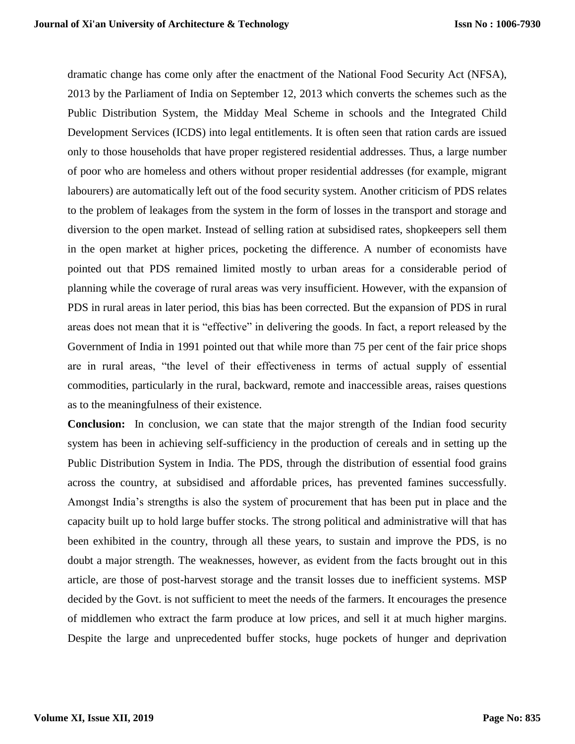dramatic change has come only after the enactment of the National Food Security Act (NFSA), 2013 by the Parliament of India on September 12, 2013 which converts the schemes such as the Public Distribution System, the Midday Meal Scheme in schools and the Integrated Child Development Services (ICDS) into legal entitlements. It is often seen that ration cards are issued only to those households that have proper registered residential addresses. Thus, a large number of poor who are homeless and others without proper residential addresses (for example, migrant labourers) are automatically left out of the food security system. Another criticism of PDS relates to the problem of leakages from the system in the form of losses in the transport and storage and diversion to the open market. Instead of selling ration at subsidised rates, shopkeepers sell them in the open market at higher prices, pocketing the difference. A number of economists have pointed out that PDS remained limited mostly to urban areas for a considerable period of planning while the coverage of rural areas was very insufficient. However, with the expansion of PDS in rural areas in later period, this bias has been corrected. But the expansion of PDS in rural areas does not mean that it is "effective" in delivering the goods. In fact, a report released by the Government of India in 1991 pointed out that while more than 75 per cent of the fair price shops are in rural areas, "the level of their effectiveness in terms of actual supply of essential commodities, particularly in the rural, backward, remote and inaccessible areas, raises questions as to the meaningfulness of their existence.

**Conclusion:** In conclusion, we can state that the major strength of the Indian food security system has been in achieving self-sufficiency in the production of cereals and in setting up the Public Distribution System in India. The PDS, through the distribution of essential food grains across the country, at subsidised and affordable prices, has prevented famines successfully. Amongst India's strengths is also the system of procurement that has been put in place and the capacity built up to hold large buffer stocks. The strong political and administrative will that has been exhibited in the country, through all these years, to sustain and improve the PDS, is no doubt a major strength. The weaknesses, however, as evident from the facts brought out in this article, are those of post-harvest storage and the transit losses due to inefficient systems. MSP decided by the Govt. is not sufficient to meet the needs of the farmers. It encourages the presence of middlemen who extract the farm produce at low prices, and sell it at much higher margins. Despite the large and unprecedented buffer stocks, huge pockets of hunger and deprivation